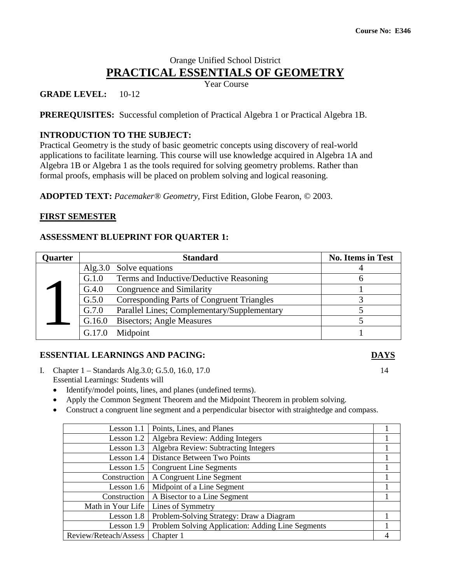# Orange Unified School District **PRACTICAL ESSENTIALS OF GEOMETRY**

Year Course

#### **GRADE LEVEL:** 10-12

**PREREQUISITES:** Successful completion of Practical Algebra 1 or Practical Algebra 1B.

#### **INTRODUCTION TO THE SUBJECT:**

Practical Geometry is the study of basic geometric concepts using discovery of real-world applications to facilitate learning. This course will use knowledge acquired in Algebra 1A and Algebra 1B or Algebra 1 as the tools required for solving geometry problems. Rather than formal proofs, emphasis will be placed on problem solving and logical reasoning.

**ADOPTED TEXT:** *Pacemaker® Geometry,* First Edition, Globe Fearon, © 2003.

#### **FIRST SEMESTER**

#### **ASSESSMENT BLUEPRINT FOR QUARTER 1:**

| Quarter |        | <b>Standard</b>                             | <b>No. Items in Test</b> |
|---------|--------|---------------------------------------------|--------------------------|
|         |        | Alg.3.0 Solve equations                     |                          |
|         | G.1.0  | Terms and Inductive/Deductive Reasoning     |                          |
|         | G.4.0  | Congruence and Similarity                   |                          |
|         | G.5.0  | Corresponding Parts of Congruent Triangles  |                          |
|         | G.7.0  | Parallel Lines; Complementary/Supplementary |                          |
|         | G.16.0 | <b>Bisectors</b> ; Angle Measures           |                          |
|         | G.17.0 | Midpoint                                    |                          |

#### **ESSENTIAL LEARNINGS AND PACING: DAYS**

- I. Chapter 1 Standards Alg. 3.0; G. 5.0, 16.0, 17.0 14 Essential Learnings: Students will
	- Identify/model points, lines, and planes (undefined terms).
	- Apply the Common Segment Theorem and the Midpoint Theorem in problem solving.
	- Construct a congruent line segment and a perpendicular bisector with straightedge and compass.

| Lesson 1.1            | Points, Lines, and Planes                         |  |
|-----------------------|---------------------------------------------------|--|
| Lesson 1.2            | Algebra Review: Adding Integers                   |  |
| Lesson 1.3            | Algebra Review: Subtracting Integers              |  |
| Lesson 1.4            | Distance Between Two Points                       |  |
| Lesson 1.5            | <b>Congruent Line Segments</b>                    |  |
| Construction          | A Congruent Line Segment                          |  |
| Lesson 1.6            | Midpoint of a Line Segment                        |  |
| Construction          | A Bisector to a Line Segment                      |  |
| Math in Your Life     | Lines of Symmetry                                 |  |
| Lesson 1.8            | Problem-Solving Strategy: Draw a Diagram          |  |
| Lesson 1.9            | Problem Solving Application: Adding Line Segments |  |
| Review/Reteach/Assess | Chapter 1                                         |  |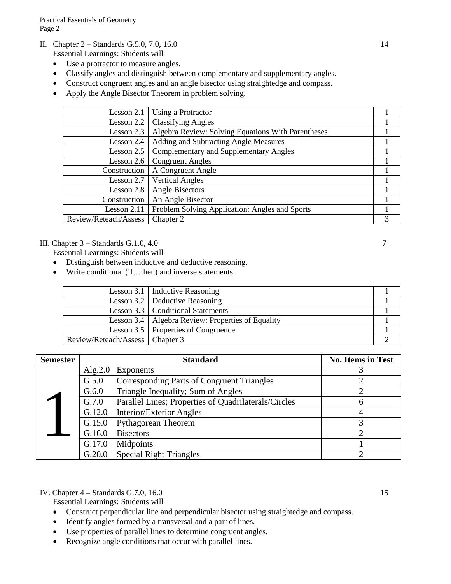- II. Chapter 2 Standards G.5.0, 7.0, 16.0 14
	- Essential Learnings: Students will
		- Use a protractor to measure angles.
		- Classify angles and distinguish between complementary and supplementary angles.
		- Construct congruent angles and an angle bisector using straightedge and compass.
		- Apply the Angle Bisector Theorem in problem solving.

| Lesson 2.1            | Using a Protractor                                 |  |
|-----------------------|----------------------------------------------------|--|
| Lesson 2.2 $ $        | <b>Classifying Angles</b>                          |  |
| Lesson 2.3            | Algebra Review: Solving Equations With Parentheses |  |
| Lesson 2.4            | Adding and Subtracting Angle Measures              |  |
| Lesson 2.5            | <b>Complementary and Supplementary Angles</b>      |  |
| Lesson 2.6            | <b>Congruent Angles</b>                            |  |
| Construction          | A Congruent Angle                                  |  |
| Lesson 2.7            | <b>Vertical Angles</b>                             |  |
| Lesson 2.8            | Angle Bisectors                                    |  |
| Construction          | An Angle Bisector                                  |  |
| Lesson 2.11           | Problem Solving Application: Angles and Sports     |  |
| Review/Reteach/Assess | Chapter 2                                          |  |

#### III. Chapter  $3 -$ Standards G.1.0, 4.0  $7$

Essential Learnings: Students will

- Distinguish between inductive and deductive reasoning.
- Write conditional (if...then) and inverse statements.

|                                   | Lesson 3.1   Inductive Reasoning                    |  |
|-----------------------------------|-----------------------------------------------------|--|
|                                   | Lesson 3.2   Deductive Reasoning                    |  |
|                                   | Lesson 3.3   Conditional Statements                 |  |
|                                   | Lesson 3.4   Algebra Review: Properties of Equality |  |
|                                   | Lesson 3.5   Properties of Congruence               |  |
| Review/Reteach/Assess   Chapter 3 |                                                     |  |

| <b>Semester</b> |         | <b>Standard</b>                                      | <b>No. Items in Test</b> |
|-----------------|---------|------------------------------------------------------|--------------------------|
|                 | Alg.2.0 | <b>Exponents</b>                                     |                          |
|                 | G.5.0   | <b>Corresponding Parts of Congruent Triangles</b>    |                          |
|                 | G.6.0   | Triangle Inequality; Sum of Angles                   |                          |
|                 | G.7.0   | Parallel Lines; Properties of Quadrilaterals/Circles | 6                        |
|                 | G.12.0  | <b>Interior/Exterior Angles</b>                      |                          |
|                 | G.15.0  | <b>Pythagorean Theorem</b>                           |                          |
|                 | G.16.0  | <b>Bisectors</b>                                     | ി                        |
|                 | G.17.0  | Midpoints                                            |                          |
|                 | G.20.0  | <b>Special Right Triangles</b>                       |                          |

#### IV. Chapter 4 – Standards G.7.0, 16.0 15

- Construct perpendicular line and perpendicular bisector using straightedge and compass.
- Identify angles formed by a transversal and a pair of lines.
- Use properties of parallel lines to determine congruent angles.
- Recognize angle conditions that occur with parallel lines.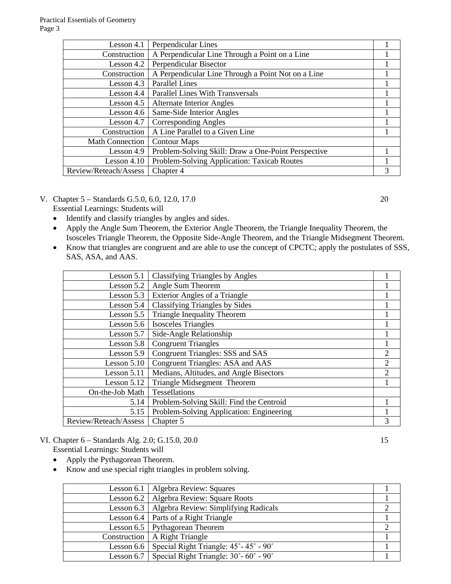| Lesson 4.1             | Perpendicular Lines                                 |   |
|------------------------|-----------------------------------------------------|---|
| Construction           | A Perpendicular Line Through a Point on a Line      |   |
| Lesson 4.2             | Perpendicular Bisector                              |   |
| Construction           | A Perpendicular Line Through a Point Not on a Line  |   |
| Lesson 4.3             | <b>Parallel Lines</b>                               |   |
| Lesson $4.4$           | <b>Parallel Lines With Transversals</b>             |   |
| Lesson $4.5$           | <b>Alternate Interior Angles</b>                    |   |
| Lesson 4.6             | Same-Side Interior Angles                           |   |
| Lesson 4.7             | <b>Corresponding Angles</b>                         |   |
| Construction           | A Line Parallel to a Given Line                     |   |
| <b>Math Connection</b> | <b>Contour Maps</b>                                 |   |
| Lesson 4.9             | Problem-Solving Skill: Draw a One-Point Perspective |   |
| Lesson $4.10$          | Problem-Solving Application: Taxicab Routes         |   |
| Review/Reteach/Assess  | Chapter 4                                           | 3 |

V. Chapter 5 – Standards G.5.0, 6.0, 12.0, 17.0 20

Essential Learnings: Students will

- Identify and classify triangles by angles and sides.
- Apply the Angle Sum Theorem, the Exterior Angle Theorem, the Triangle Inequality Theorem, the Isosceles Triangle Theorem, the Opposite Side-Angle Theorem, and the Triangle Midsegment Theorem.
- Know that triangles are congruent and are able to use the concept of CPCTC; apply the postulates of SSS, SAS, ASA, and AAS.

| Lesson 5.1            | <b>Classifying Triangles by Angles</b>   |                             |
|-----------------------|------------------------------------------|-----------------------------|
| Lesson $5.2$          | Angle Sum Theorem                        |                             |
| Lesson 5.3            | <b>Exterior Angles of a Triangle</b>     |                             |
| Lesson 5.4            | Classifying Triangles by Sides           |                             |
| Lesson 5.5            | Triangle Inequality Theorem              |                             |
| Lesson 5.6            | <b>Isosceles Triangles</b>               |                             |
| Lesson 5.7            | Side-Angle Relationship                  |                             |
| Lesson 5.8            | <b>Congruent Triangles</b>               |                             |
| Lesson 5.9            | <b>Congruent Triangles: SSS and SAS</b>  | 2                           |
| Lesson $5.10$         | Congruent Triangles: ASA and AAS         | $\mathcal{D}_{\mathcal{L}}$ |
| Lesson 5.11           | Medians, Altitudes, and Angle Bisectors  | $\mathcal{D}_{\mathcal{L}}$ |
| Lesson $5.12$         | Triangle Midsegment Theorem              |                             |
| On-the-Job Math       | Tessellations                            |                             |
| 5.14                  | Problem-Solving Skill: Find the Centroid |                             |
| 5.15                  | Problem-Solving Application: Engineering |                             |
| Review/Reteach/Assess | Chapter 5                                | 3                           |

# VI. Chapter 6 – Standards Alg. 2.0; G.15.0, 20.0 15

- Apply the Pythagorean Theorem.
- Know and use special right triangles in problem solving.

| Lesson 6.1   Algebra Review: Squares                          |  |
|---------------------------------------------------------------|--|
| Lesson 6.2   Algebra Review: Square Roots                     |  |
| Lesson 6.3   Algebra Review: Simplifying Radicals             |  |
| Lesson 6.4   Parts of a Right Triangle                        |  |
| Lesson 6.5   Pythagorean Theorem                              |  |
| Construction   A Right Triangle                               |  |
| Lesson 6.6   Special Right Triangle: 45° - 45° - 90°          |  |
| Lesson 6.7   Special Right Triangle: $30^{\circ}$ - 60° - 90° |  |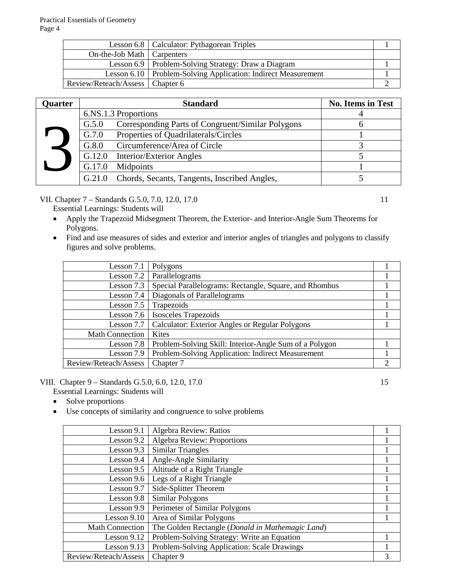|                                   | Lesson 6.8   Calculator: Pythagorean Triples                    |  |
|-----------------------------------|-----------------------------------------------------------------|--|
| On-the-Job Math   Carpenters      |                                                                 |  |
|                                   | Lesson 6.9   Problem-Solving Strategy: Draw a Diagram           |  |
|                                   | Lesson 6.10   Problem-Solving Application: Indirect Measurement |  |
| Review/Reteach/Assess   Chapter 6 |                                                                 |  |

| Quarter | <b>Standard</b>                                            | <b>No. Items in Test</b> |
|---------|------------------------------------------------------------|--------------------------|
|         | 6.NS.1.3 Proportions                                       |                          |
|         | Corresponding Parts of Congruent/Similar Polygons<br>G.5.0 |                          |
|         | Properties of Quadrilaterals/Circles<br>G.7.0              |                          |
|         | Circumference/Area of Circle<br>G.8.0                      |                          |
|         | G.12.0<br>Interior/Exterior Angles                         |                          |
|         | Midpoints<br>G.17.0                                        |                          |
|         | Chords, Secants, Tangents, Inscribed Angles,<br>G.21.0     |                          |

VII. Chapter 7 – Standards G.5.0, 7.0, 12.0, 17.0 11

Essential Learnings: Students will

- Apply the Trapezoid Midsegment Theorem, the Exterior- and Interior-Angle Sum Theorems for Polygons.
- Find and use measures of sides and exterior and interior angles of triangles and polygons to classify figures and solve problems.

| Lesson 7.1             | Polygons                                               |   |
|------------------------|--------------------------------------------------------|---|
| Lesson 7.2             | Parallelograms                                         |   |
| Lesson 7.3             | Special Parallelograms: Rectangle, Square, and Rhombus |   |
| Lesson 7.4             | Diagonals of Parallelograms                            |   |
| Lesson 7.5             | Trapezoids                                             |   |
| Lesson 7.6             | <b>Isosceles Trapezoids</b>                            |   |
| Lesson 7.7             | <b>Calculator: Exterior Angles or Regular Polygons</b> |   |
| <b>Math Connection</b> | <b>Kites</b>                                           |   |
| Lesson 7.8             | Problem-Solving Skill: Interior-Angle Sum of a Polygon |   |
| Lesson 7.9             | Problem-Solving Application: Indirect Measurement      |   |
| Review/Reteach/Assess  | Chapter 7                                              | ∍ |

#### VIII. Chapter 9 – Standards G.5.0, 6.0, 12.0, 17.0 15

- Solve proportions
- Use concepts of similarity and congruence to solve problems

| Lesson 9.1             | Algebra Review: Ratios                           |   |
|------------------------|--------------------------------------------------|---|
| Lesson 9.2             | <b>Algebra Review: Proportions</b>               |   |
| Lesson $9.3$           | <b>Similar Triangles</b>                         |   |
| Lesson 9.4             | Angle-Angle Similarity                           |   |
| Lesson 9.5             | Altitude of a Right Triangle                     |   |
| Lesson 9.6             | Legs of a Right Triangle                         |   |
| Lesson 9.7             | Side-Splitter Theorem                            |   |
| Lesson 9.8             | Similar Polygons                                 |   |
| Lesson 9.9             | Perimeter of Similar Polygons                    |   |
| Lesson 9.10            | Area of Similar Polygons                         |   |
| <b>Math Connection</b> | The Golden Rectangle (Donald in Mathemagic Land) |   |
| Lesson $9.12$          | Problem-Solving Strategy: Write an Equation      |   |
| Lesson $9.13$          | Problem-Solving Application: Scale Drawings      |   |
| Review/Reteach/Assess  | Chapter 9                                        | 3 |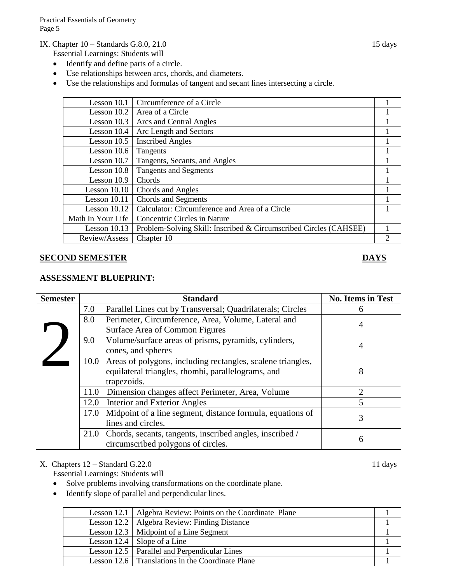Practical Essentials of Geometry Page 5

IX. Chapter 10 – Standards G.8.0, 21.0 15 days

Essential Learnings: Students will

- Identify and define parts of a circle.
- Use relationships between arcs, chords, and diameters.
- Use the relationships and formulas of tangent and secant lines intersecting a circle.

| Lesson 10.1       | Circumference of a Circle                                         |                |
|-------------------|-------------------------------------------------------------------|----------------|
| Lesson $10.2$     | Area of a Circle                                                  |                |
| Lesson $10.3$     | Arcs and Central Angles                                           |                |
| Lesson 10.4       | Arc Length and Sectors                                            |                |
| Lesson $10.5$     | <b>Inscribed Angles</b>                                           |                |
| Lesson $10.6$     | Tangents                                                          |                |
| Lesson 10.7       | Tangents, Secants, and Angles                                     |                |
| Lesson 10.8       | <b>Tangents and Segments</b>                                      |                |
| Lesson 10.9       | Chords                                                            |                |
| Lesson $10.10$    | Chords and Angles                                                 |                |
| Lesson 10.11      | <b>Chords and Segments</b>                                        |                |
| Lesson $10.12$    | Calculator: Circumference and Area of a Circle                    |                |
| Math In Your Life | <b>Concentric Circles in Nature</b>                               |                |
| Lesson 10.13      | Problem-Solving Skill: Inscribed & Circumscribed Circles (CAHSEE) |                |
| Review/Assess     | Chapter 10                                                        | $\overline{c}$ |

#### **SECOND SEMESTER DAYS**

#### **ASSESSMENT BLUEPRINT:**

| <b>Semester</b> |      | <b>Standard</b>                                                  | <b>No. Items in Test</b> |
|-----------------|------|------------------------------------------------------------------|--------------------------|
|                 | 7.0  | Parallel Lines cut by Transversal; Quadrilaterals; Circles       | 6                        |
|                 | 8.0  | Perimeter, Circumference, Area, Volume, Lateral and              | 4                        |
|                 |      | Surface Area of Common Figures                                   |                          |
|                 | 9.0  | Volume/surface areas of prisms, pyramids, cylinders,             | 4                        |
|                 |      | cones, and spheres                                               |                          |
|                 |      | 10.0 Areas of polygons, including rectangles, scalene triangles, |                          |
|                 |      | equilateral triangles, rhombi, parallelograms, and               | 8                        |
|                 |      | trapezoids.                                                      |                          |
|                 | 11.0 | Dimension changes affect Perimeter, Area, Volume                 | 2                        |
|                 | 12.0 | <b>Interior and Exterior Angles</b>                              | 5                        |
|                 | 17.0 | Midpoint of a line segment, distance formula, equations of       | 3                        |
|                 |      | lines and circles.                                               |                          |
|                 |      | 21.0 Chords, secants, tangents, inscribed angles, inscribed /    | 6                        |
|                 |      | circumscribed polygons of circles.                               |                          |

### X. Chapters 12 – Standard G.22.0 11 days

- Solve problems involving transformations on the coordinate plane.
- Identify slope of parallel and perpendicular lines.

| Lesson 12.1   Algebra Review: Points on the Coordinate Plane |  |
|--------------------------------------------------------------|--|
| Lesson 12.2   Algebra Review: Finding Distance               |  |
| Lesson 12.3   Midpoint of a Line Segment                     |  |
| Lesson 12.4   Slope of a Line                                |  |
| Lesson 12.5   Parallel and Perpendicular Lines               |  |
| Lesson 12.6 Translations in the Coordinate Plane             |  |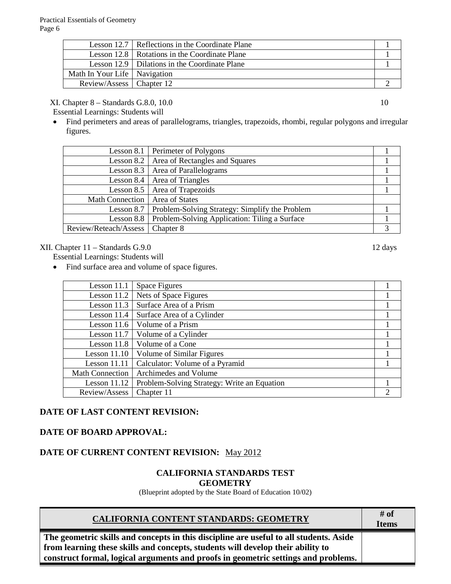|                                | Lesson 12.7   Reflections in the Coordinate Plane |  |
|--------------------------------|---------------------------------------------------|--|
|                                | Lesson 12.8   Rotations in the Coordinate Plane   |  |
|                                | Lesson 12.9   Dilations in the Coordinate Plane   |  |
| Math In Your Life   Navigation |                                                   |  |
| Review/Assess   Chapter 12     |                                                   |  |

#### XI. Chapter 8 – Standards G.8.0, 10.0 10

Essential Learnings: Students will

• Find perimeters and areas of parallelograms, triangles, trapezoids, rhombi, regular polygons and irregular figures.

|                       | Lesson 8.1 Perimeter of Polygons               |   |
|-----------------------|------------------------------------------------|---|
|                       | Lesson 8.2   Area of Rectangles and Squares    |   |
|                       | Lesson 8.3   Area of Parallelograms            |   |
|                       | Lesson 8.4   Area of Triangles                 |   |
|                       | Lesson 8.5   Area of Trapezoids                |   |
| Math Connection       | <b>Area of States</b>                          |   |
| Lesson $8.7$          | Problem-Solving Strategy: Simplify the Problem |   |
| Lesson 8.8            | Problem-Solving Application: Tiling a Surface  |   |
| Review/Reteach/Assess | Chapter 8                                      | 3 |

#### XII. Chapter 11 – Standards G.9.0 12 days

Essential Learnings: Students will

• Find surface area and volume of space figures.

| Lesson 11.1            | <b>Space Figures</b>                        |               |
|------------------------|---------------------------------------------|---------------|
| Lesson $11.2$          | Nets of Space Figures                       |               |
| Lesson $11.3$          | Surface Area of a Prism                     |               |
| Lesson 11.4            | Surface Area of a Cylinder                  |               |
| Lesson $11.6$          | Volume of a Prism                           |               |
| Lesson $11.7$          | Volume of a Cylinder                        |               |
| Lesson 11.8            | Volume of a Cone                            |               |
| Lesson $11.10$         | Volume of Similar Figures                   |               |
| Lesson 11.11           | Calculator: Volume of a Pyramid             |               |
| <b>Math Connection</b> | Archimedes and Volume                       |               |
| Lesson 11.12           | Problem-Solving Strategy: Write an Equation |               |
| Review/Assess          | Chapter 11                                  | $\mathcal{D}$ |

# **DATE OF LAST CONTENT REVISION:**

### **DATE OF BOARD APPROVAL:**

## **DATE OF CURRENT CONTENT REVISION:** May 2012

### **CALIFORNIA STANDARDS TEST GEOMETRY**

(Blueprint adopted by the State Board of Education 10/02)

| <b>CALIFORNIA CONTENT STANDARDS: GEOMETRY</b>                                          | # of<br><b>Items</b> |
|----------------------------------------------------------------------------------------|----------------------|
| The geometric skills and concepts in this discipline are useful to all students. Aside |                      |
| from learning these skills and concepts, students will develop their ability to        |                      |
| construct formal, logical arguments and proofs in geometric settings and problems.     |                      |